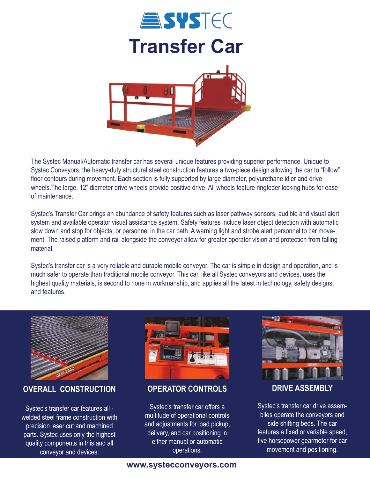

The Systec Manual/Automatic transfer car has several unique features providing superior performance. Unique to Systec Conveyors, the heavy-duty structural steel construction features a two-piece design allowing the car to "follow" floor contours during movement. Each section is fully supported by large diameter, polyurethane idler and drive wheels.The large, 12" diameter drive wheels provide positive drive. All wheels feature ringfeder locking hubs for ease of maintenance.

Systec's Transfer Car brings an abundance of safety features such as laser pathway sensors, audible and visual alert system and available operator visual assistance system. Safety features include laser object detection with automatic slow down and stop for objects, or personnel in the car path. A warning light and strobe alert personnel to car movement. The raised platform and rail alongside the conveyor allow for greater operator vision and protection from falling material.

Systec's transfer car is a very reliable and durable mobile conveyor. The car is simple in design and operation, and is much safer to operate than traditional mobile conveyor. This car, like all Systec conveyors and devices, uses the highest quality materials, is second to none in workmanship, and applies all the latest in technology, safety designs, and features.



**OVERALL CONSTRUCTION**

Systec's transfer car features all welded steel frame construction with precision laser cut and machined parts. Systec uses only the highest quality components in this and all conveyor and devices.



## **OPERATOR CONTROLS**

Systec's transfer car offers a multitude of operational controls and adjustments for load pickup, delivery, and car positioning in either manual or automatic operations.



**DRIVE ASSEMBLY**

Systec's transfer car drive assemblies operate the conveyors and side shifting beds. The car features a fixed or variable speed, five horsepower gearmotor for car movement and positioning.

## **www.systecconveyors.com**